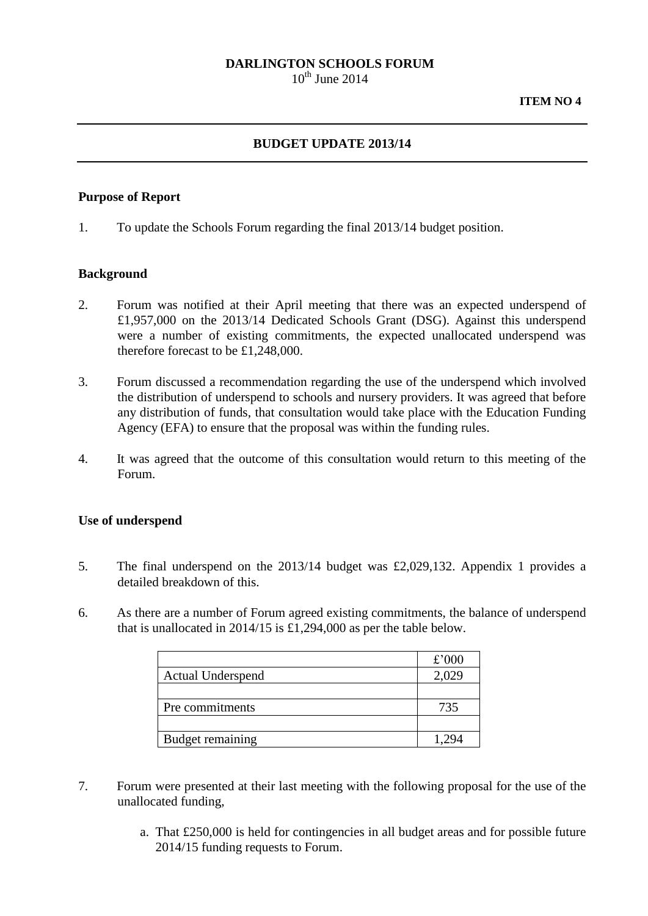# **DARLINGTON SCHOOLS FORUM**

 $10^{th}$  June 2014

# **BUDGET UPDATE 2013/14**

### **Purpose of Report**

1. To update the Schools Forum regarding the final 2013/14 budget position.

#### **Background**

- 2. Forum was notified at their April meeting that there was an expected underspend of £1,957,000 on the 2013/14 Dedicated Schools Grant (DSG). Against this underspend were a number of existing commitments, the expected unallocated underspend was therefore forecast to be £1,248,000.
- 3. Forum discussed a recommendation regarding the use of the underspend which involved the distribution of underspend to schools and nursery providers. It was agreed that before any distribution of funds, that consultation would take place with the Education Funding Agency (EFA) to ensure that the proposal was within the funding rules.
- 4. It was agreed that the outcome of this consultation would return to this meeting of the Forum.

### **Use of underspend**

- 5. The final underspend on the 2013/14 budget was £2,029,132. Appendix 1 provides a detailed breakdown of this.
- 6. As there are a number of Forum agreed existing commitments, the balance of underspend that is unallocated in 2014/15 is £1,294,000 as per the table below.

|                          | £'000 |
|--------------------------|-------|
| <b>Actual Underspend</b> | 2,029 |
|                          |       |
| Pre commitments          | 735   |
|                          |       |
| Budget remaining         |       |

- 7. Forum were presented at their last meeting with the following proposal for the use of the unallocated funding,
	- a. That £250,000 is held for contingencies in all budget areas and for possible future 2014/15 funding requests to Forum.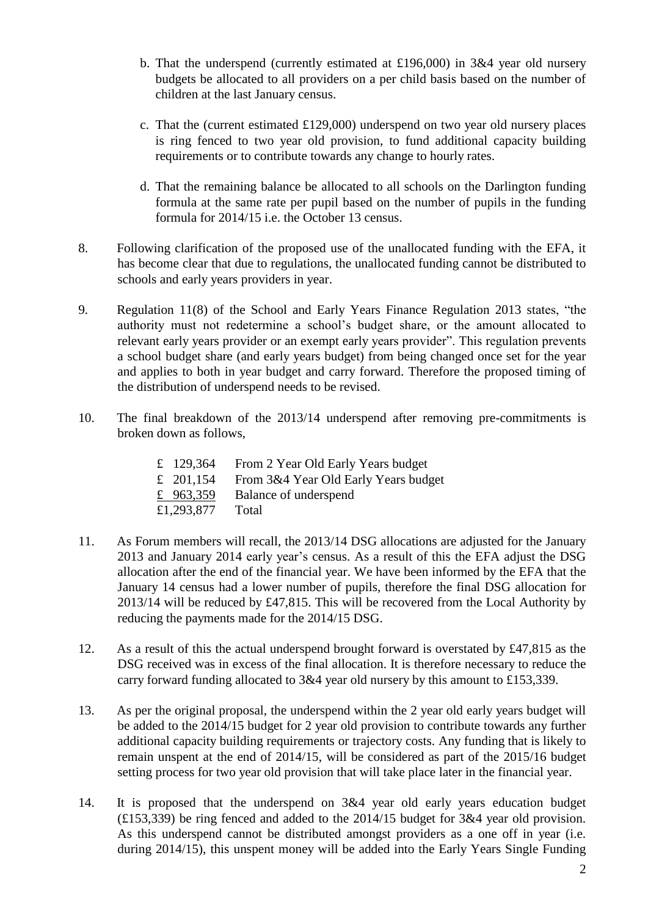- b. That the underspend (currently estimated at £196,000) in  $3\&4$  year old nursery budgets be allocated to all providers on a per child basis based on the number of children at the last January census.
- c. That the (current estimated £129,000) underspend on two year old nursery places is ring fenced to two year old provision, to fund additional capacity building requirements or to contribute towards any change to hourly rates.
- d. That the remaining balance be allocated to all schools on the Darlington funding formula at the same rate per pupil based on the number of pupils in the funding formula for 2014/15 i.e. the October 13 census.
- 8. Following clarification of the proposed use of the unallocated funding with the EFA, it has become clear that due to regulations, the unallocated funding cannot be distributed to schools and early years providers in year.
- 9. Regulation 11(8) of the School and Early Years Finance Regulation 2013 states, "the authority must not redetermine a school's budget share, or the amount allocated to relevant early years provider or an exempt early years provider". This regulation prevents a school budget share (and early years budget) from being changed once set for the year and applies to both in year budget and carry forward. Therefore the proposed timing of the distribution of underspend needs to be revised.
- 10. The final breakdown of the 2013/14 underspend after removing pre-commitments is broken down as follows,

| £ 129,364   | From 2 Year Old Early Years budget   |
|-------------|--------------------------------------|
| £ 201,154   | From 3&4 Year Old Early Years budget |
| £ $963,359$ | Balance of underspend                |
| £1,293,877  | Total                                |

- 11. As Forum members will recall, the 2013/14 DSG allocations are adjusted for the January 2013 and January 2014 early year's census. As a result of this the EFA adjust the DSG allocation after the end of the financial year. We have been informed by the EFA that the January 14 census had a lower number of pupils, therefore the final DSG allocation for 2013/14 will be reduced by £47,815. This will be recovered from the Local Authority by reducing the payments made for the 2014/15 DSG.
- 12. As a result of this the actual underspend brought forward is overstated by £47,815 as the DSG received was in excess of the final allocation. It is therefore necessary to reduce the carry forward funding allocated to 3&4 year old nursery by this amount to £153,339.
- 13. As per the original proposal, the underspend within the 2 year old early years budget will be added to the 2014/15 budget for 2 year old provision to contribute towards any further additional capacity building requirements or trajectory costs. Any funding that is likely to remain unspent at the end of 2014/15, will be considered as part of the 2015/16 budget setting process for two year old provision that will take place later in the financial year.
- 14. It is proposed that the underspend on 3&4 year old early years education budget (£153,339) be ring fenced and added to the 2014/15 budget for 3&4 year old provision. As this underspend cannot be distributed amongst providers as a one off in year (i.e. during 2014/15), this unspent money will be added into the Early Years Single Funding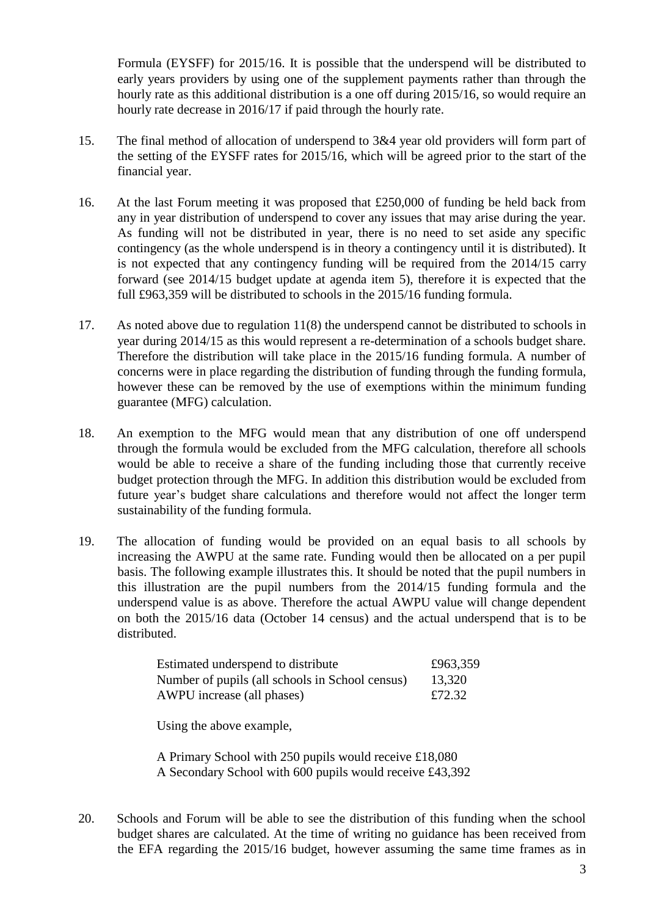Formula (EYSFF) for 2015/16. It is possible that the underspend will be distributed to early years providers by using one of the supplement payments rather than through the hourly rate as this additional distribution is a one off during 2015/16, so would require an hourly rate decrease in 2016/17 if paid through the hourly rate.

- 15. The final method of allocation of underspend to 3&4 year old providers will form part of the setting of the EYSFF rates for 2015/16, which will be agreed prior to the start of the financial year.
- 16. At the last Forum meeting it was proposed that £250,000 of funding be held back from any in year distribution of underspend to cover any issues that may arise during the year. As funding will not be distributed in year, there is no need to set aside any specific contingency (as the whole underspend is in theory a contingency until it is distributed). It is not expected that any contingency funding will be required from the 2014/15 carry forward (see 2014/15 budget update at agenda item 5), therefore it is expected that the full £963,359 will be distributed to schools in the 2015/16 funding formula.
- 17. As noted above due to regulation 11(8) the underspend cannot be distributed to schools in year during 2014/15 as this would represent a re-determination of a schools budget share. Therefore the distribution will take place in the 2015/16 funding formula. A number of concerns were in place regarding the distribution of funding through the funding formula, however these can be removed by the use of exemptions within the minimum funding guarantee (MFG) calculation.
- 18. An exemption to the MFG would mean that any distribution of one off underspend through the formula would be excluded from the MFG calculation, therefore all schools would be able to receive a share of the funding including those that currently receive budget protection through the MFG. In addition this distribution would be excluded from future year's budget share calculations and therefore would not affect the longer term sustainability of the funding formula.
- 19. The allocation of funding would be provided on an equal basis to all schools by increasing the AWPU at the same rate. Funding would then be allocated on a per pupil basis. The following example illustrates this. It should be noted that the pupil numbers in this illustration are the pupil numbers from the 2014/15 funding formula and the underspend value is as above. Therefore the actual AWPU value will change dependent on both the 2015/16 data (October 14 census) and the actual underspend that is to be distributed.

| Estimated underspend to distribute              | £963,359 |
|-------------------------------------------------|----------|
| Number of pupils (all schools in School census) | 13,320   |
| AWPU increase (all phases)                      | £72.32   |

Using the above example,

A Primary School with 250 pupils would receive £18,080 A Secondary School with 600 pupils would receive £43,392

20. Schools and Forum will be able to see the distribution of this funding when the school budget shares are calculated. At the time of writing no guidance has been received from the EFA regarding the 2015/16 budget, however assuming the same time frames as in